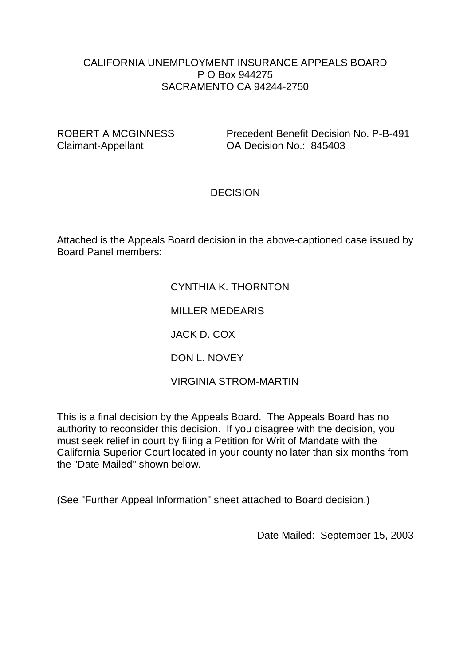#### CALIFORNIA UNEMPLOYMENT INSURANCE APPEALS BOARD P O Box 944275 SACRAMENTO CA 94244-2750

ROBERT A MCGINNESS Precedent Benefit Decision No. P-B-491 Claimant-Appellant OA Decision No.: 845403

### **DECISION**

Attached is the Appeals Board decision in the above-captioned case issued by Board Panel members:

# CYNTHIA K. THORNTON

MILLER MEDEARIS

JACK D. COX

DON L. NOVEY

VIRGINIA STROM-MARTIN

This is a final decision by the Appeals Board. The Appeals Board has no authority to reconsider this decision. If you disagree with the decision, you must seek relief in court by filing a Petition for Writ of Mandate with the California Superior Court located in your county no later than six months from the "Date Mailed" shown below.

(See "Further Appeal Information" sheet attached to Board decision.)

Date Mailed: September 15, 2003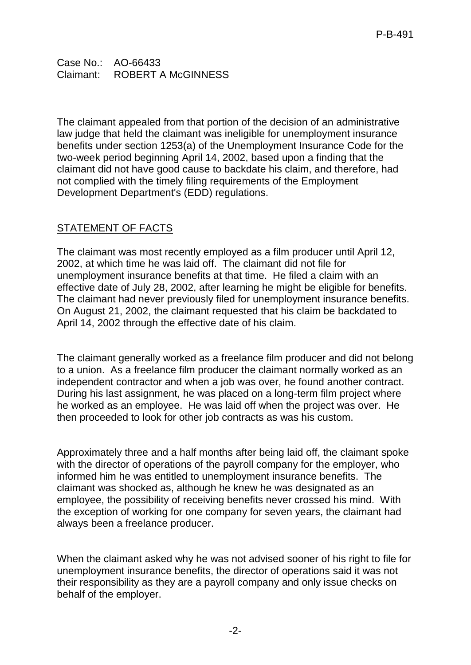Case No.: AO-66433 Claimant: ROBERT A McGINNESS

The claimant appealed from that portion of the decision of an administrative law judge that held the claimant was ineligible for unemployment insurance benefits under section 1253(a) of the Unemployment Insurance Code for the two-week period beginning April 14, 2002, based upon a finding that the claimant did not have good cause to backdate his claim, and therefore, had not complied with the timely filing requirements of the Employment Development Department's (EDD) regulations.

# STATEMENT OF FACTS

The claimant was most recently employed as a film producer until April 12, 2002, at which time he was laid off. The claimant did not file for unemployment insurance benefits at that time. He filed a claim with an effective date of July 28, 2002, after learning he might be eligible for benefits. The claimant had never previously filed for unemployment insurance benefits. On August 21, 2002, the claimant requested that his claim be backdated to April 14, 2002 through the effective date of his claim.

The claimant generally worked as a freelance film producer and did not belong to a union. As a freelance film producer the claimant normally worked as an independent contractor and when a job was over, he found another contract. During his last assignment, he was placed on a long-term film project where he worked as an employee. He was laid off when the project was over. He then proceeded to look for other job contracts as was his custom.

Approximately three and a half months after being laid off, the claimant spoke with the director of operations of the payroll company for the employer, who informed him he was entitled to unemployment insurance benefits. The claimant was shocked as, although he knew he was designated as an employee, the possibility of receiving benefits never crossed his mind. With the exception of working for one company for seven years, the claimant had always been a freelance producer.

When the claimant asked why he was not advised sooner of his right to file for unemployment insurance benefits, the director of operations said it was not their responsibility as they are a payroll company and only issue checks on behalf of the employer.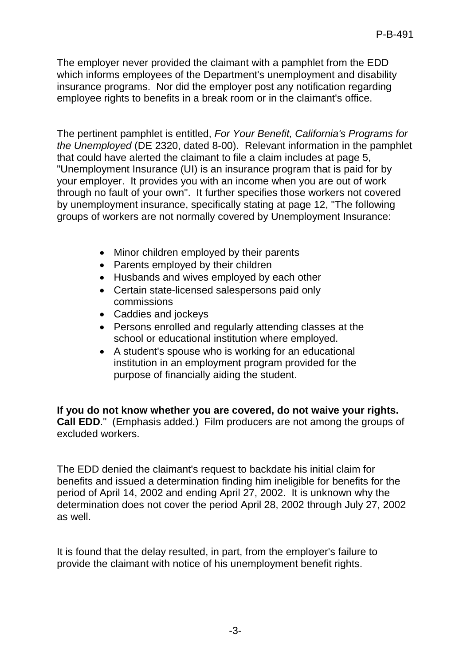The employer never provided the claimant with a pamphlet from the EDD which informs employees of the Department's unemployment and disability insurance programs. Nor did the employer post any notification regarding employee rights to benefits in a break room or in the claimant's office.

The pertinent pamphlet is entitled, *For Your Benefit, California's Programs for the Unemployed* (DE 2320, dated 8-00). Relevant information in the pamphlet that could have alerted the claimant to file a claim includes at page 5, "Unemployment Insurance (UI) is an insurance program that is paid for by your employer. It provides you with an income when you are out of work through no fault of your own". It further specifies those workers not covered by unemployment insurance, specifically stating at page 12, "The following groups of workers are not normally covered by Unemployment Insurance:

- Minor children employed by their parents
- Parents employed by their children
- Husbands and wives employed by each other
- Certain state-licensed salespersons paid only commissions
- Caddies and jockeys
- Persons enrolled and regularly attending classes at the school or educational institution where employed.
- A student's spouse who is working for an educational institution in an employment program provided for the purpose of financially aiding the student.

**If you do not know whether you are covered, do not waive your rights. Call EDD**." (Emphasis added.) Film producers are not among the groups of excluded workers.

The EDD denied the claimant's request to backdate his initial claim for benefits and issued a determination finding him ineligible for benefits for the period of April 14, 2002 and ending April 27, 2002. It is unknown why the determination does not cover the period April 28, 2002 through July 27, 2002 as well.

It is found that the delay resulted, in part, from the employer's failure to provide the claimant with notice of his unemployment benefit rights.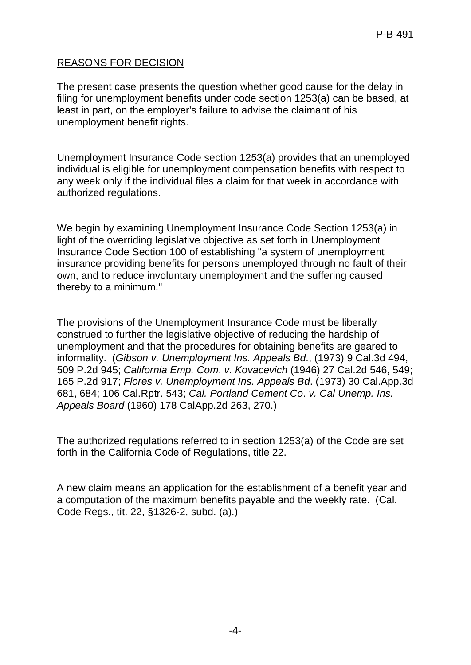# REASONS FOR DECISION

The present case presents the question whether good cause for the delay in filing for unemployment benefits under code section 1253(a) can be based, at least in part, on the employer's failure to advise the claimant of his unemployment benefit rights.

Unemployment Insurance Code section 1253(a) provides that an unemployed individual is eligible for unemployment compensation benefits with respect to any week only if the individual files a claim for that week in accordance with authorized regulations.

We begin by examining Unemployment Insurance Code Section 1253(a) in light of the overriding legislative objective as set forth in Unemployment Insurance Code Section 100 of establishing "a system of unemployment insurance providing benefits for persons unemployed through no fault of their own, and to reduce involuntary unemployment and the suffering caused thereby to a minimum."

The provisions of the Unemployment Insurance Code must be liberally construed to further the legislative objective of reducing the hardship of unemployment and that the procedures for obtaining benefits are geared to informality. (*Gibson v. Unemployment Ins. Appeals Bd*., (1973) 9 Cal.3d 494, 509 P.2d 945; *California Emp. Com*. *v. Kovacevich* (1946) 27 Cal.2d 546, 549; 165 P.2d 917; *Flores v. Unemployment Ins. Appeals Bd*. (1973) 30 Cal.App.3d 681, 684; 106 Cal.Rptr. 543; *Cal. Portland Cement Co*. *v. Cal Unemp. Ins. Appeals Board* (1960) 178 CalApp.2d 263, 270.)

The authorized regulations referred to in section 1253(a) of the Code are set forth in the California Code of Regulations, title 22.

A new claim means an application for the establishment of a benefit year and a computation of the maximum benefits payable and the weekly rate. (Cal. Code Regs., tit. 22, §1326-2, subd. (a).)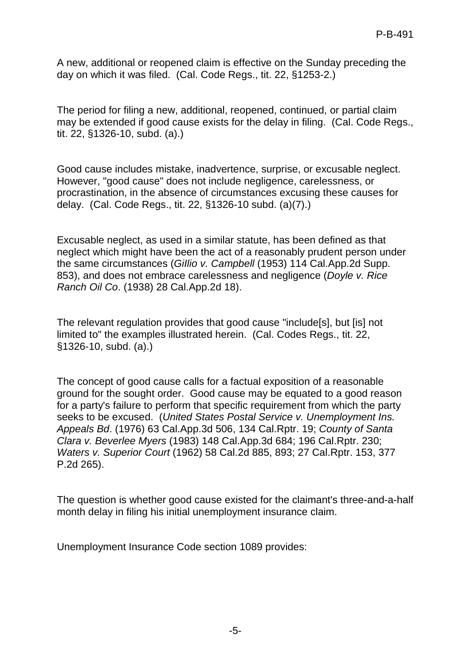A new, additional or reopened claim is effective on the Sunday preceding the day on which it was filed. (Cal. Code Regs., tit. 22, §1253-2.)

The period for filing a new, additional, reopened, continued, or partial claim may be extended if good cause exists for the delay in filing. (Cal. Code Regs., tit. 22, §1326-10, subd. (a).)

Good cause includes mistake, inadvertence, surprise, or excusable neglect. However, "good cause" does not include negligence, carelessness, or procrastination, in the absence of circumstances excusing these causes for delay. (Cal. Code Regs., tit. 22, §1326-10 subd. (a)(7).)

Excusable neglect, as used in a similar statute, has been defined as that neglect which might have been the act of a reasonably prudent person under the same circumstances (*GiIlio v. Campbell* (1953) 114 Cal.App.2d Supp. 853), and does not embrace carelessness and negligence (*Doyle v. Rice Ranch Oil Co*. (1938) 28 Cal.App.2d 18).

The relevant regulation provides that good cause "include[s], but [is] not limited to" the examples illustrated herein. (Cal. Codes Regs., tit. 22, §1326-10, subd. (a).)

The concept of good cause calls for a factual exposition of a reasonable ground for the sought order. Good cause may be equated to a good reason for a party's failure to perform that specific requirement from which the party seeks to be excused. (*United States Postal Service v. Unemployment Ins. Appeals Bd*. (1976) 63 Cal.App.3d 506, 134 Cal.Rptr. 19; *County of Santa Clara v. Beverlee Myers* (1983) 148 Cal.App.3d 684; 196 Cal.Rptr. 230; *Waters v. Superior Court* (1962) 58 Cal.2d 885, 893; 27 Cal.Rptr. 153, 377 P.2d 265).

The question is whether good cause existed for the claimant's three-and-a-half month delay in filing his initial unemployment insurance claim.

Unemployment Insurance Code section 1089 provides: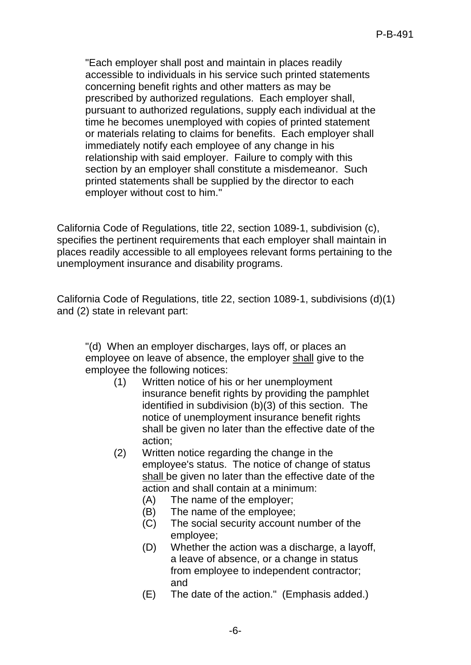"Each employer shall post and maintain in places readily accessible to individuals in his service such printed statements concerning benefit rights and other matters as may be prescribed by authorized regulations. Each employer shall, pursuant to authorized regulations, supply each individual at the time he becomes unemployed with copies of printed statement or materials relating to claims for benefits. Each employer shall immediately notify each employee of any change in his relationship with said employer. Failure to comply with this section by an employer shall constitute a misdemeanor. Such printed statements shall be supplied by the director to each employer without cost to him."

California Code of Regulations, title 22, section 1089-1, subdivision (c), specifies the pertinent requirements that each employer shall maintain in places readily accessible to all employees relevant forms pertaining to the unemployment insurance and disability programs.

California Code of Regulations, title 22, section 1089-1, subdivisions (d)(1) and (2) state in relevant part:

"(d) When an employer discharges, lays off, or places an employee on leave of absence, the employer shall give to the employee the following notices:

- (1) Written notice of his or her unemployment insurance benefit rights by providing the pamphlet identified in subdivision (b)(3) of this section. The notice of unemployment insurance benefit rights shall be given no later than the effective date of the action;
- (2) Written notice regarding the change in the employee's status. The notice of change of status shall be given no later than the effective date of the action and shall contain at a minimum:
	- (A) The name of the employer;
	- (B) The name of the employee;
	- (C) The social security account number of the employee;
	- (D) Whether the action was a discharge, a layoff, a leave of absence, or a change in status from employee to independent contractor; and
	- (E) The date of the action." (Emphasis added.)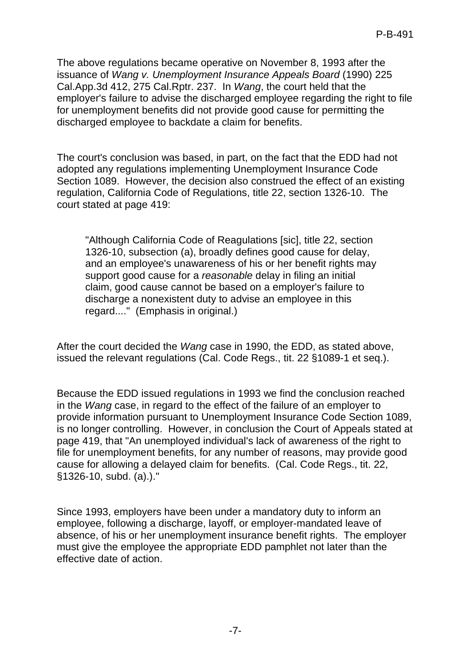The above regulations became operative on November 8, 1993 after the issuance of *Wang v. Unemployment Insurance Appeals Board* (1990) 225 Cal.App.3d 412, 275 Cal.Rptr. 237. In *Wang*, the court held that the employer's failure to advise the discharged employee regarding the right to file for unemployment benefits did not provide good cause for permitting the discharged employee to backdate a claim for benefits.

The court's conclusion was based, in part, on the fact that the EDD had not adopted any regulations implementing Unemployment Insurance Code Section 1089. However, the decision also construed the effect of an existing regulation, California Code of Regulations, title 22, section 1326-10. The court stated at page 419:

"Although California Code of Reagulations [sic], title 22, section 1326-10, subsection (a), broadly defines good cause for delay, and an employee's unawareness of his or her benefit rights may support good cause for a *reasonable* delay in filing an initial claim, good cause cannot be based on a employer's failure to discharge a nonexistent duty to advise an employee in this regard...." (Emphasis in original.)

After the court decided the *Wang* case in 1990, the EDD, as stated above, issued the relevant regulations (Cal. Code Regs., tit. 22 §1089-1 et seq.).

Because the EDD issued regulations in 1993 we find the conclusion reached in the *Wang* case, in regard to the effect of the failure of an employer to provide information pursuant to Unemployment Insurance Code Section 1089, is no longer controlling. However, in conclusion the Court of Appeals stated at page 419, that "An unemployed individual's lack of awareness of the right to file for unemployment benefits, for any number of reasons, may provide good cause for allowing a delayed claim for benefits. (Cal. Code Regs., tit. 22, §1326-10, subd. (a).)."

Since 1993, employers have been under a mandatory duty to inform an employee, following a discharge, layoff, or employer-mandated leave of absence, of his or her unemployment insurance benefit rights. The employer must give the employee the appropriate EDD pamphlet not later than the effective date of action.